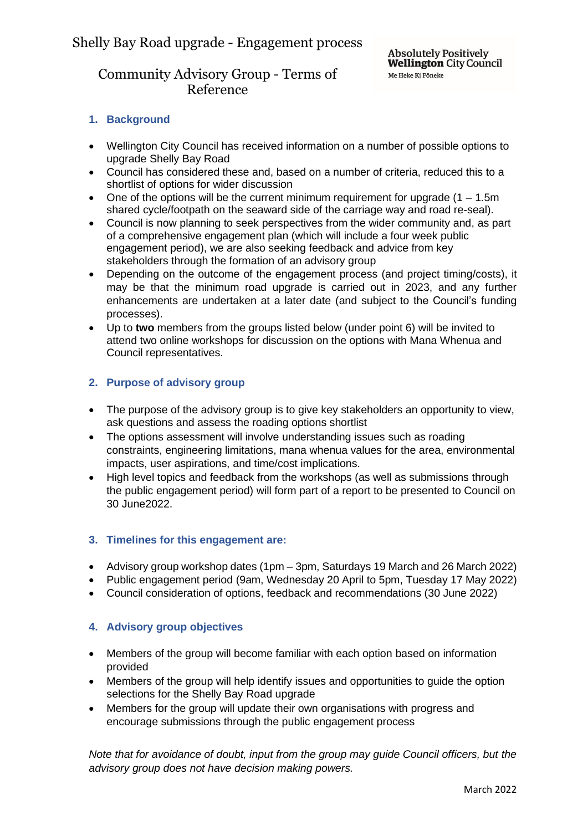# Community Advisory Group - Terms of Reference

## **1. Background**

- Wellington City Council has received information on a number of possible options to upgrade Shelly Bay Road
- Council has considered these and, based on a number of criteria, reduced this to a shortlist of options for wider discussion
- One of the options will be the current minimum requirement for upgrade  $(1 1.5m)$ shared cycle/footpath on the seaward side of the carriage way and road re-seal).
- Council is now planning to seek perspectives from the wider community and, as part of a comprehensive engagement plan (which will include a four week public engagement period), we are also seeking feedback and advice from key stakeholders through the formation of an advisory group
- Depending on the outcome of the engagement process (and project timing/costs), it may be that the minimum road upgrade is carried out in 2023, and any further enhancements are undertaken at a later date (and subject to the Council's funding processes).
- Up to **two** members from the groups listed below (under point 6) will be invited to attend two online workshops for discussion on the options with Mana Whenua and Council representatives.

## **2. Purpose of advisory group**

- The purpose of the advisory group is to give key stakeholders an opportunity to view, ask questions and assess the roading options shortlist
- The options assessment will involve understanding issues such as roading constraints, engineering limitations, mana whenua values for the area, environmental impacts, user aspirations, and time/cost implications.
- High level topics and feedback from the workshops (as well as submissions through the public engagement period) will form part of a report to be presented to Council on 30 June2022.

### **3. Timelines for this engagement are:**

- Advisory group workshop dates (1pm 3pm, Saturdays 19 March and 26 March 2022)
- Public engagement period (9am, Wednesday 20 April to 5pm, Tuesday 17 May 2022)
- Council consideration of options, feedback and recommendations (30 June 2022)

### **4. Advisory group objectives**

- Members of the group will become familiar with each option based on information provided
- Members of the group will help identify issues and opportunities to quide the option selections for the Shelly Bay Road upgrade
- Members for the group will update their own organisations with progress and encourage submissions through the public engagement process

*Note that for avoidance of doubt, input from the group may guide Council officers, but the advisory group does not have decision making powers.*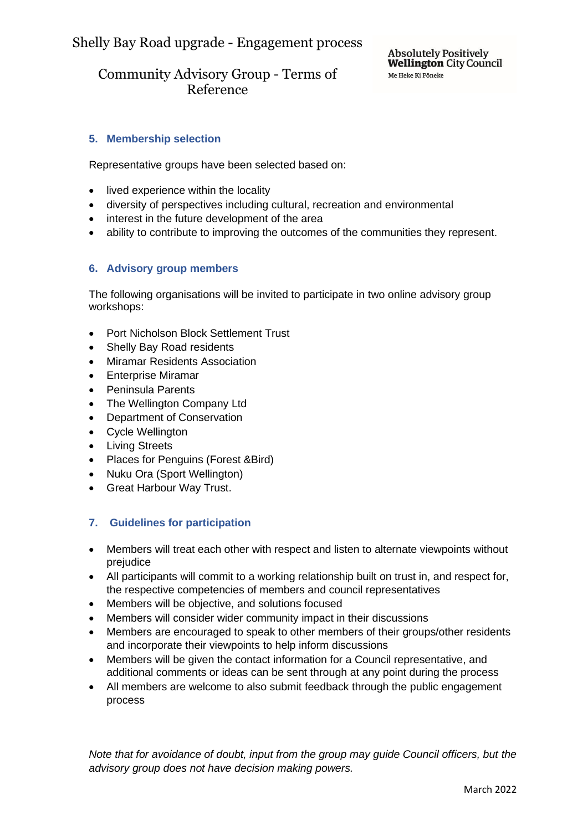# Community Advisory Group - Terms of Reference

## **5. Membership selection**

Representative groups have been selected based on:

- lived experience within the locality
- diversity of perspectives including cultural, recreation and environmental
- interest in the future development of the area
- ability to contribute to improving the outcomes of the communities they represent.

### **6. Advisory group members**

The following organisations will be invited to participate in two online advisory group workshops:

- Port Nicholson Block Settlement Trust
- Shelly Bay Road residents
- Miramar Residents Association
- Enterprise Miramar
- Peninsula Parents
- The Wellington Company Ltd
- Department of Conservation
- Cycle Wellington
- Living Streets
- Places for Penguins (Forest &Bird)
- Nuku Ora (Sport Wellington)
- Great Harbour Way Trust.

### **7. Guidelines for participation**

- Members will treat each other with respect and listen to alternate viewpoints without prejudice
- All participants will commit to a working relationship built on trust in, and respect for, the respective competencies of members and council representatives
- Members will be objective, and solutions focused
- Members will consider wider community impact in their discussions
- Members are encouraged to speak to other members of their groups/other residents and incorporate their viewpoints to help inform discussions
- Members will be given the contact information for a Council representative, and additional comments or ideas can be sent through at any point during the process
- All members are welcome to also submit feedback through the public engagement process

*Note that for avoidance of doubt, input from the group may guide Council officers, but the advisory group does not have decision making powers.*